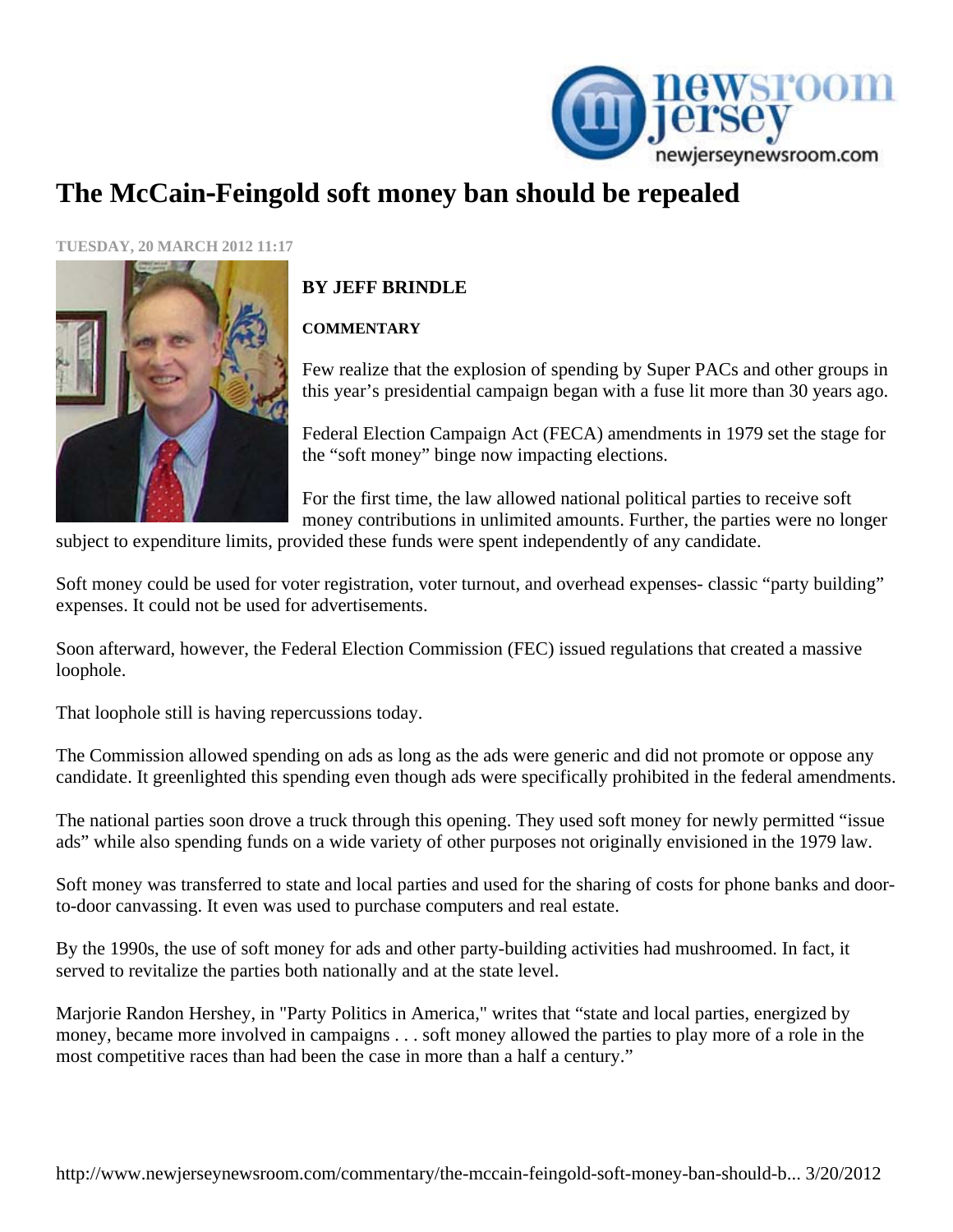

## **The McCain**‐**Feingold soft money ban should be repealed**

**TUESDAY, 20 MARCH 2012 11:17** 



## **BY JEFF BRINDLE**

## **COMMENTARY**

Few realize that the explosion of spending by Super PACs and other groups in this year's presidential campaign began with a fuse lit more than 30 years ago.

Federal Election Campaign Act (FECA) amendments in 1979 set the stage for the "soft money" binge now impacting elections.

For the first time, the law allowed national political parties to receive soft money contributions in unlimited amounts. Further, the parties were no longer

subject to expenditure limits, provided these funds were spent independently of any candidate.

Soft money could be used for voter registration, voter turnout, and overhead expenses- classic "party building" expenses. It could not be used for advertisements.

Soon afterward, however, the Federal Election Commission (FEC) issued regulations that created a massive loophole.

That loophole still is having repercussions today.

The Commission allowed spending on ads as long as the ads were generic and did not promote or oppose any candidate. It greenlighted this spending even though ads were specifically prohibited in the federal amendments.

The national parties soon drove a truck through this opening. They used soft money for newly permitted "issue ads" while also spending funds on a wide variety of other purposes not originally envisioned in the 1979 law.

Soft money was transferred to state and local parties and used for the sharing of costs for phone banks and doorto-door canvassing. It even was used to purchase computers and real estate.

By the 1990s, the use of soft money for ads and other party-building activities had mushroomed. In fact, it served to revitalize the parties both nationally and at the state level.

Marjorie Randon Hershey, in "Party Politics in America," writes that "state and local parties, energized by money, became more involved in campaigns . . . soft money allowed the parties to play more of a role in the most competitive races than had been the case in more than a half a century."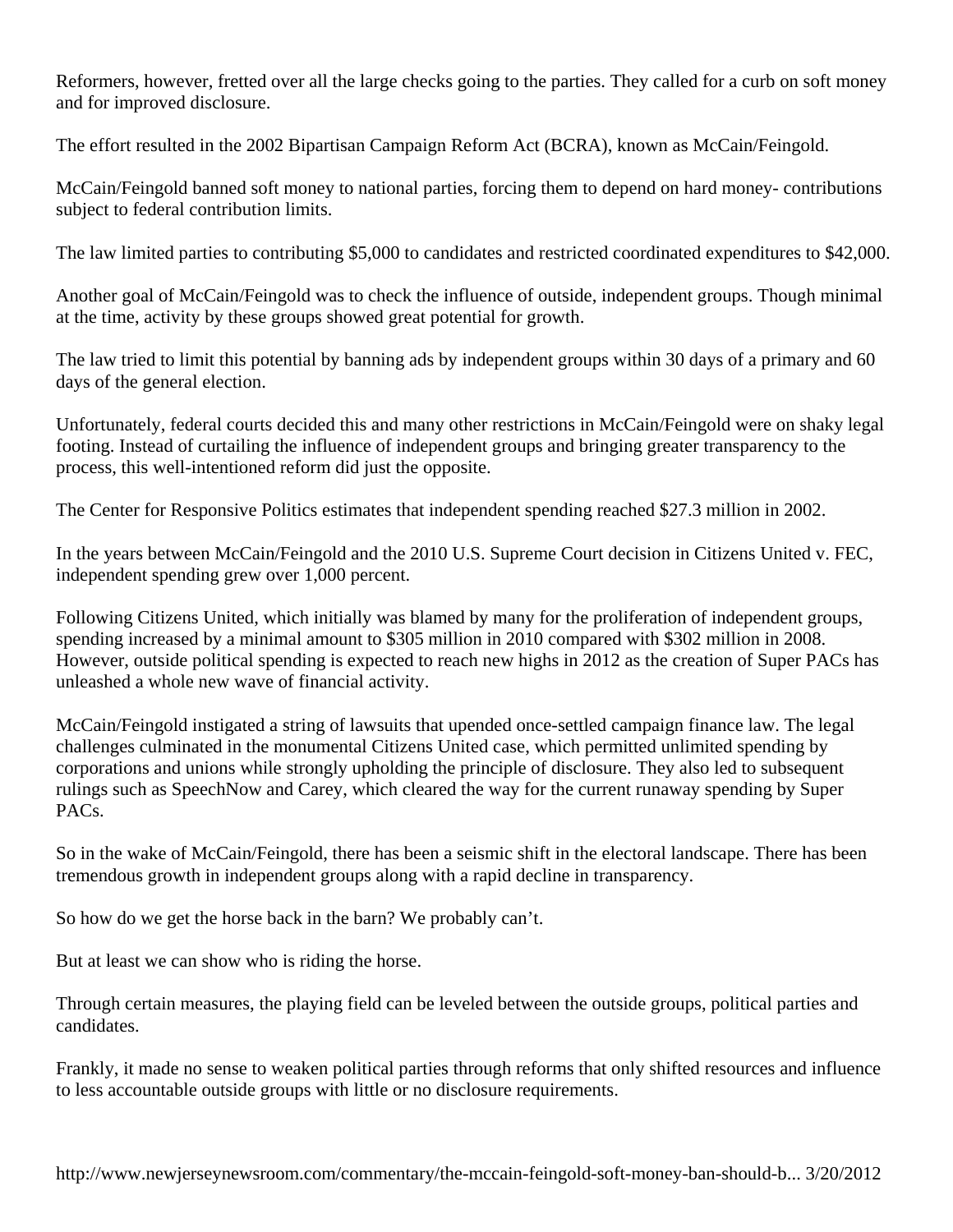Reformers, however, fretted over all the large checks going to the parties. They called for a curb on soft money and for improved disclosure.

The effort resulted in the 2002 Bipartisan Campaign Reform Act (BCRA), known as McCain/Feingold.

McCain/Feingold banned soft money to national parties, forcing them to depend on hard money- contributions subject to federal contribution limits.

The law limited parties to contributing \$5,000 to candidates and restricted coordinated expenditures to \$42,000.

Another goal of McCain/Feingold was to check the influence of outside, independent groups. Though minimal at the time, activity by these groups showed great potential for growth.

The law tried to limit this potential by banning ads by independent groups within 30 days of a primary and 60 days of the general election.

Unfortunately, federal courts decided this and many other restrictions in McCain/Feingold were on shaky legal footing. Instead of curtailing the influence of independent groups and bringing greater transparency to the process, this well-intentioned reform did just the opposite.

The Center for Responsive Politics estimates that independent spending reached \$27.3 million in 2002.

In the years between McCain/Feingold and the 2010 U.S. Supreme Court decision in Citizens United v. FEC, independent spending grew over 1,000 percent.

Following Citizens United, which initially was blamed by many for the proliferation of independent groups, spending increased by a minimal amount to \$305 million in 2010 compared with \$302 million in 2008. However, outside political spending is expected to reach new highs in 2012 as the creation of Super PACs has unleashed a whole new wave of financial activity.

McCain/Feingold instigated a string of lawsuits that upended once-settled campaign finance law. The legal challenges culminated in the monumental Citizens United case, which permitted unlimited spending by corporations and unions while strongly upholding the principle of disclosure. They also led to subsequent rulings such as SpeechNow and Carey, which cleared the way for the current runaway spending by Super PACs.

So in the wake of McCain/Feingold, there has been a seismic shift in the electoral landscape. There has been tremendous growth in independent groups along with a rapid decline in transparency.

So how do we get the horse back in the barn? We probably can't.

But at least we can show who is riding the horse.

Through certain measures, the playing field can be leveled between the outside groups, political parties and candidates.

Frankly, it made no sense to weaken political parties through reforms that only shifted resources and influence to less accountable outside groups with little or no disclosure requirements.